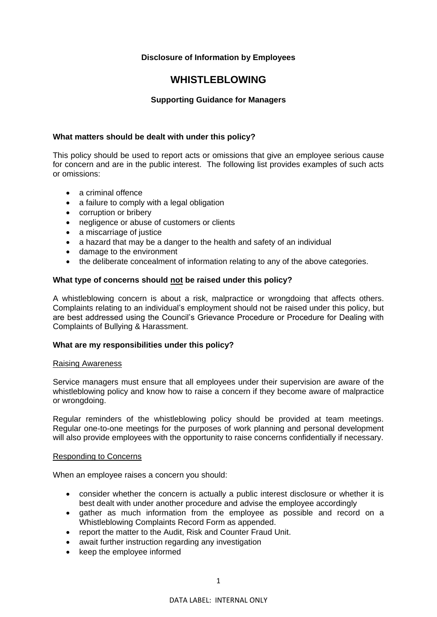#### **Disclosure of Information by Employees**

### **WHISTLEBLOWING**

#### **Supporting Guidance for Managers**

#### **What matters should be dealt with under this policy?**

This policy should be used to report acts or omissions that give an employee serious cause for concern and are in the public interest. The following list provides examples of such acts or omissions:

- a criminal offence
- a failure to comply with a legal obligation
- corruption or bribery
- negligence or abuse of customers or clients
- a miscarriage of justice
- a hazard that may be a danger to the health and safety of an individual
- damage to the environment
- the deliberate concealment of information relating to any of the above categories.

#### **What type of concerns should not be raised under this policy?**

A whistleblowing concern is about a risk, malpractice or wrongdoing that affects others. Complaints relating to an individual's employment should not be raised under this policy, but are best addressed using the Council's Grievance Procedure or Procedure for Dealing with Complaints of Bullying & Harassment.

#### **What are my responsibilities under this policy?**

#### Raising Awareness

Service managers must ensure that all employees under their supervision are aware of the whistleblowing policy and know how to raise a concern if they become aware of malpractice or wrongdoing.

Regular reminders of the whistleblowing policy should be provided at team meetings. Regular one-to-one meetings for the purposes of work planning and personal development will also provide employees with the opportunity to raise concerns confidentially if necessary.

#### Responding to Concerns

When an employee raises a concern you should:

- consider whether the concern is actually a public interest disclosure or whether it is best dealt with under another procedure and advise the employee accordingly
- gather as much information from the employee as possible and record on a Whistleblowing Complaints Record Form as appended.
- report the matter to the Audit, Risk and Counter Fraud Unit.
- await further instruction regarding any investigation
- keep the employee informed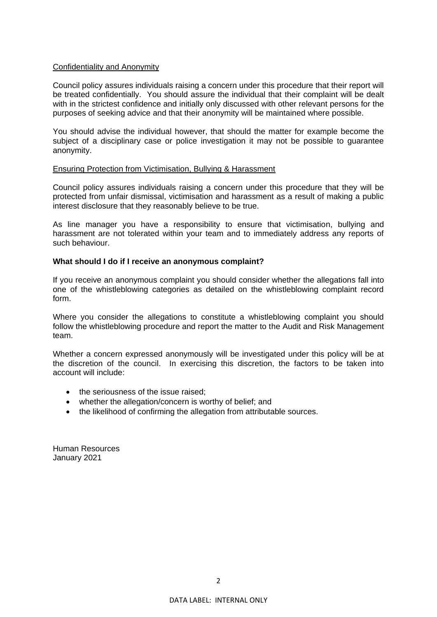#### Confidentiality and Anonymity

Council policy assures individuals raising a concern under this procedure that their report will be treated confidentially. You should assure the individual that their complaint will be dealt with in the strictest confidence and initially only discussed with other relevant persons for the purposes of seeking advice and that their anonymity will be maintained where possible.

You should advise the individual however, that should the matter for example become the subject of a disciplinary case or police investigation it may not be possible to guarantee anonymity.

#### Ensuring Protection from Victimisation, Bullying & Harassment

Council policy assures individuals raising a concern under this procedure that they will be protected from unfair dismissal, victimisation and harassment as a result of making a public interest disclosure that they reasonably believe to be true.

As line manager you have a responsibility to ensure that victimisation, bullying and harassment are not tolerated within your team and to immediately address any reports of such behaviour.

#### **What should I do if I receive an anonymous complaint?**

If you receive an anonymous complaint you should consider whether the allegations fall into one of the whistleblowing categories as detailed on the whistleblowing complaint record form.

Where you consider the allegations to constitute a whistleblowing complaint you should follow the whistleblowing procedure and report the matter to the Audit and Risk Management team.

Whether a concern expressed anonymously will be investigated under this policy will be at the discretion of the council. In exercising this discretion, the factors to be taken into account will include:

- the seriousness of the issue raised;
- whether the allegation/concern is worthy of belief; and
- the likelihood of confirming the allegation from attributable sources.

Human Resources January 2021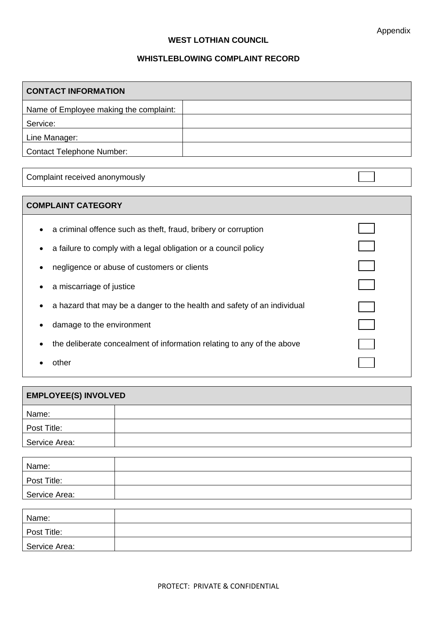$\overline{\phantom{0}}$ 

#### **WEST LOTHIAN COUNCIL**

#### **WHISTLEBLOWING COMPLAINT RECORD**

| <b>CONTACT INFORMATION</b>             |  |  |
|----------------------------------------|--|--|
| Name of Employee making the complaint: |  |  |
| Service:                               |  |  |
| Line Manager:                          |  |  |
| <b>Contact Telephone Number:</b>       |  |  |

Complaint received anonymously

#### **COMPLAINT CATEGORY**

- a criminal offence such as theft, fraud, bribery or corruption
- a failure to comply with a legal obligation or a council policy
- negligence or abuse of customers or clients
- a miscarriage of justice
- a hazard that may be a danger to the health and safety of an individual
- damage to the environment
- the deliberate concealment of information relating to any of the above
- other

| <b>EMPLOYEE(S) INVOLVED</b> |  |  |
|-----------------------------|--|--|
| Name:                       |  |  |
| Post Title:                 |  |  |
| Service Area:               |  |  |

| Name:         |  |
|---------------|--|
| Post Title:   |  |
| Service Area: |  |
|               |  |
| Name:         |  |
| Post Title:   |  |
| Service Area: |  |